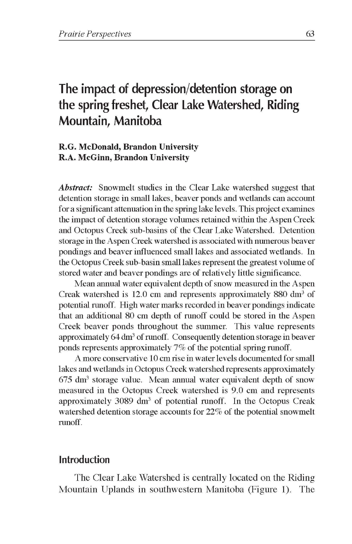# **The impact of depression/detention storage on the spring freshet, Clear Lake Watershed, Riding Mountain, Manitoba**

#### **R.G. McDonald, Brandon University R.A. McGinn, Brandon University**

*Abstract:* Snowmelt studies in the Clear Lake watershed suggest that detention storage in small lakes, beaver ponds and wetlands can account for a significant attenuation in the spring lake levels. This project examines the impact of detention storage volumes retained within the Aspen Creek and Octopus Creek sub-basins of the Clear Lake Watershed. Detention storage in the Aspen Creek watershed is associated with numerous beaver pondings and beaver influenced small lakes and associated wetlands. In the Octopus Creek sub-basin small lakes represent the greatest volume of stored water and beaver pondings are of relatively little significance.

Mean annual water equivalent depth of snow measured in the Aspen Creak watershed is 12.0 cm and represents approximately 880 dm<sup>3</sup> of potential runoff. High water marks recorded in beaver pondings indicate that an additional 80 cm depth of runoff could be stored in the Aspen Creek beaver ponds throughout the summer. This value represents approximately 64 dm<sup>3</sup> of runoff. Consequently detention storage in beaver ponds represents approximately 7% of the potential spring runoff.

A more conservative 10 cm rise in water levels documented for small lakes and wetlands in Octopus Creek watershed represents approximately  $675 \text{ dm}^3$  storage value. Mean annual water equivalent depth of snow measured in the Octopus Creek watershed is 9.0 cm and represents approximately 3089 dm<sup>3</sup> of potential runoff. In the Octopus Creak watershed detention storage accounts for 22% of the potential snowmelt runoff.

## **Introduction**

The Clear Lake Watershed is centrally located on the Riding Mountain Uplands in southwestern Manitoba (Figure 1). The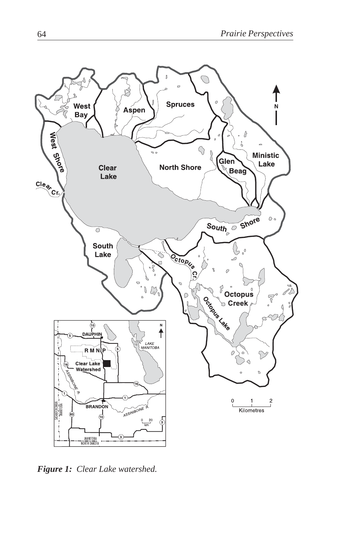

*Figure 1: Clear Lake watershed.*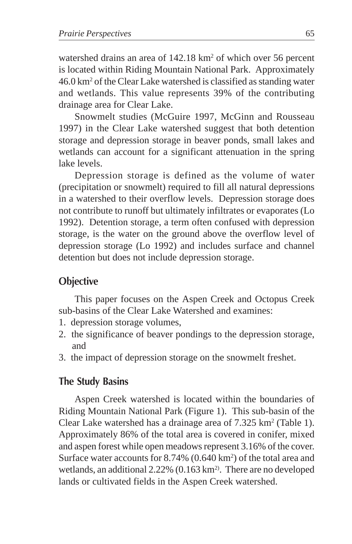watershed drains an area of 142.18 km<sup>2</sup> of which over 56 percent is located within Riding Mountain National Park. Approximately 46.0 km2 of the Clear Lake watershed is classified as standing water and wetlands. This value represents 39% of the contributing drainage area for Clear Lake.

Snowmelt studies (McGuire 1997, McGinn and Rousseau 1997) in the Clear Lake watershed suggest that both detention storage and depression storage in beaver ponds, small lakes and wetlands can account for a significant attenuation in the spring lake levels.

Depression storage is defined as the volume of water (precipitation or snowmelt) required to fill all natural depressions in a watershed to their overflow levels. Depression storage does not contribute to runoff but ultimately infiltrates or evaporates (Lo 1992). Detention storage, a term often confused with depression storage, is the water on the ground above the overflow level of depression storage (Lo 1992) and includes surface and channel detention but does not include depression storage.

# **Objective**

This paper focuses on the Aspen Creek and Octopus Creek sub-basins of the Clear Lake Watershed and examines:

- 1. depression storage volumes,
- 2. the significance of beaver pondings to the depression storage, and
- 3. the impact of depression storage on the snowmelt freshet.

## **The Study Basins**

Aspen Creek watershed is located within the boundaries of Riding Mountain National Park (Figure 1). This sub-basin of the Clear Lake watershed has a drainage area of  $7.325 \text{ km}^2$  (Table 1). Approximately 86% of the total area is covered in conifer, mixed and aspen forest while open meadows represent 3.16% of the cover. Surface water accounts for 8.74% (0.640 km<sup>2</sup>) of the total area and wetlands, an additional  $2.22\%$  (0.163 km<sup>2</sup>). There are no developed lands or cultivated fields in the Aspen Creek watershed.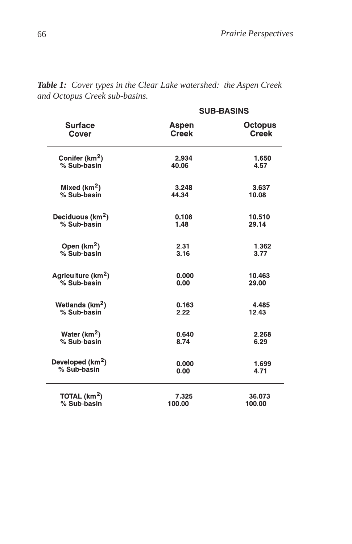| <b>Surface</b><br>Cover        | <b>SUB-BASINS</b>     |                                |
|--------------------------------|-----------------------|--------------------------------|
|                                | Aspen<br><b>Creek</b> | <b>Octopus</b><br><b>Creek</b> |
| Conifer (km <sup>2</sup> )     | 2.934                 | 1.650                          |
| % Sub-basin                    | 40.06                 | 4.57                           |
| Mixed (km <sup>2</sup> )       | 3.248                 | 3.637                          |
| % Sub-basin                    | 44.34                 | 10.08                          |
| Deciduous (km <sup>2</sup> )   | 0.108                 | 10.510                         |
| % Sub-basin                    | 1.48                  | 29.14                          |
| Open $(km2)$                   | 2.31                  | 1.362                          |
| % Sub-basin                    | 3.16                  | 3.77                           |
| Agriculture (km <sup>2</sup> ) | 0.000                 | 10.463                         |
| % Sub-basin                    | 0.00                  | 29.00                          |
| Wetlands (km <sup>2</sup> )    | 0.163                 | 4.485                          |
| % Sub-basin                    | 2.22                  | 12.43                          |
| Water ( $km2$ )                | 0.640                 | 2.268                          |
| % Sub-basin                    | 8.74                  | 6.29                           |
| Developed (km <sup>2</sup> )   | 0.000                 | 1,699                          |
| % Sub-basin                    | 0.00                  | 4.71                           |
| TOTAL $(km2)$                  | 7.325                 | 36.073                         |
| % Sub-basin                    | 100.00                | 100.00                         |

*Table 1: Cover types in the Clear Lake watershed: the Aspen Creek and Octopus Creek sub-basins.*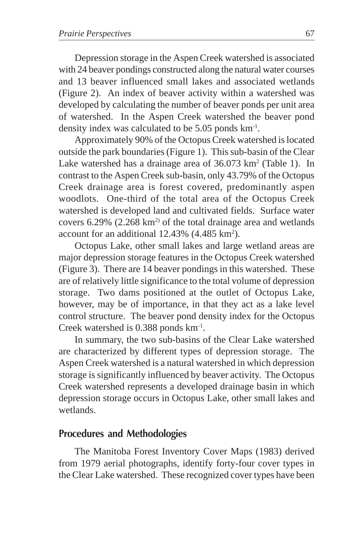Depression storage in the Aspen Creek watershed is associated with 24 beaver pondings constructed along the natural water courses and 13 beaver influenced small lakes and associated wetlands (Figure 2). An index of beaver activity within a watershed was developed by calculating the number of beaver ponds per unit area of watershed. In the Aspen Creek watershed the beaver pond density index was calculated to be 5.05 ponds km-1.

Approximately 90% of the Octopus Creek watershed is located outside the park boundaries (Figure 1). This sub-basin of the Clear Lake watershed has a drainage area of 36.073 km<sup>2</sup> (Table 1). In contrast to the Aspen Creek sub-basin, only 43.79% of the Octopus Creek drainage area is forest covered, predominantly aspen woodlots. One-third of the total area of the Octopus Creek watershed is developed land and cultivated fields. Surface water covers  $6.29\%$  (2.268 km<sup>2)</sup> of the total drainage area and wetlands account for an additional  $12.43\%$  (4.485 km<sup>2</sup>).

Octopus Lake, other small lakes and large wetland areas are major depression storage features in the Octopus Creek watershed (Figure 3). There are 14 beaver pondings in this watershed. These are of relatively little significance to the total volume of depression storage. Two dams positioned at the outlet of Octopus Lake, however, may be of importance, in that they act as a lake level control structure. The beaver pond density index for the Octopus Creek watershed is 0.388 ponds km-1.

In summary, the two sub-basins of the Clear Lake watershed are characterized by different types of depression storage. The Aspen Creek watershed is a natural watershed in which depression storage is significantly influenced by beaver activity. The Octopus Creek watershed represents a developed drainage basin in which depression storage occurs in Octopus Lake, other small lakes and wetlands.

## **Procedures and Methodologies**

The Manitoba Forest Inventory Cover Maps (1983) derived from 1979 aerial photographs, identify forty-four cover types in the Clear Lake watershed. These recognized cover types have been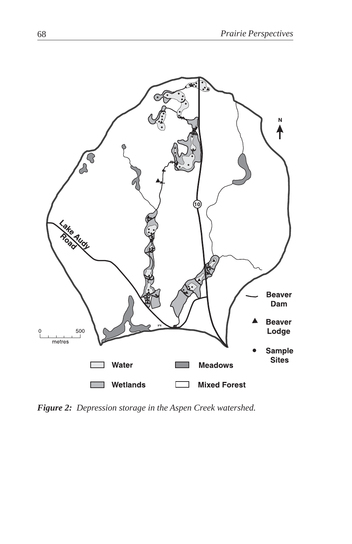

*Figure 2: Depression storage in the Aspen Creek watershed.*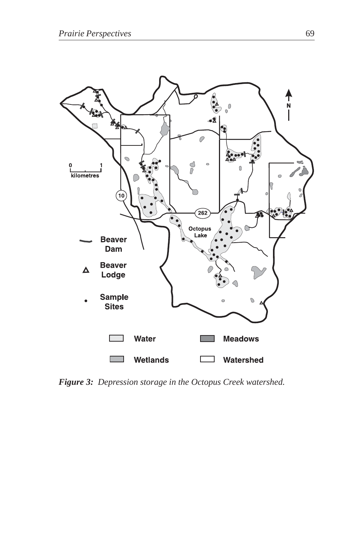

*Figure 3: Depression storage in the Octopus Creek watershed.*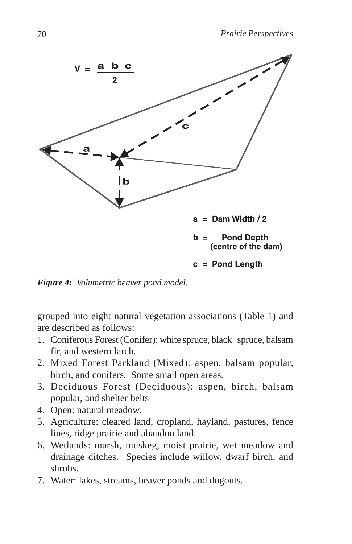

*Figure 4: Volumetric beaver pond model.*

grouped into eight natural vegetation associations (Table 1) and are described as follows:

- 1. Coniferous Forest (Conifer): white spruce, black spruce, balsam fir, and western larch.
- 2. Mixed Forest Parkland (Mixed): aspen, balsam popular, birch, and conifers. Some small open areas.
- 3. Deciduous Forest (Deciduous): aspen, birch, balsam popular, and shelter belts
- 4. Open: natural meadow.
- 5. Agriculture: cleared land, cropland, hayland, pastures, fence lines, ridge prairie and abandon land.
- 6. Wetlands: marsh, muskeg, moist prairie, wet meadow and drainage ditches. Species include willow, dwarf birch, and shrubs.
- 7. Water: lakes, streams, beaver ponds and dugouts.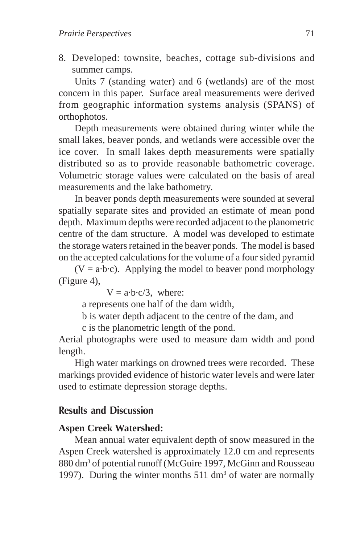8. Developed: townsite, beaches, cottage sub-divisions and summer camps.

Units 7 (standing water) and 6 (wetlands) are of the most concern in this paper. Surface areal measurements were derived from geographic information systems analysis (SPANS) of orthophotos.

Depth measurements were obtained during winter while the small lakes, beaver ponds, and wetlands were accessible over the ice cover. In small lakes depth measurements were spatially distributed so as to provide reasonable bathometric coverage. Volumetric storage values were calculated on the basis of areal measurements and the lake bathometry.

In beaver ponds depth measurements were sounded at several spatially separate sites and provided an estimate of mean pond depth. Maximum depths were recorded adjacent to the planometric centre of the dam structure. A model was developed to estimate the storage waters retained in the beaver ponds. The model is based on the accepted calculations for the volume of a four sided pyramid

 $(V = a \cdot b \cdot c)$ . Applying the model to beaver pond morphology (Figure 4),

 $V = a \cdot b \cdot c/3$ , where:

a represents one half of the dam width,

b is water depth adjacent to the centre of the dam, and

c is the planometric length of the pond.

Aerial photographs were used to measure dam width and pond length.

High water markings on drowned trees were recorded. These markings provided evidence of historic water levels and were later used to estimate depression storage depths.

## **Results and Discussion**

#### **Aspen Creek Watershed:**

Mean annual water equivalent depth of snow measured in the Aspen Creek watershed is approximately 12.0 cm and represents 880 dm<sup>3</sup> of potential runoff (McGuire 1997, McGinn and Rousseau 1997). During the winter months  $511 \text{ dm}^3$  of water are normally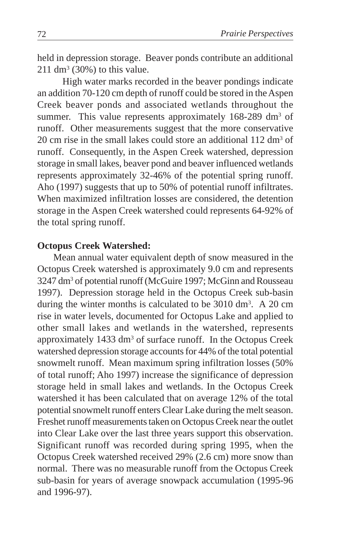held in depression storage. Beaver ponds contribute an additional  $211 \text{ dm}^3$  (30%) to this value.

High water marks recorded in the beaver pondings indicate an addition 70-120 cm depth of runoff could be stored in the Aspen Creek beaver ponds and associated wetlands throughout the summer. This value represents approximately 168-289 dm<sup>3</sup> of runoff. Other measurements suggest that the more conservative 20 cm rise in the small lakes could store an additional  $112 \text{ dm}^3$  of runoff. Consequently, in the Aspen Creek watershed, depression storage in small lakes, beaver pond and beaver influenced wetlands represents approximately 32-46% of the potential spring runoff. Aho (1997) suggests that up to 50% of potential runoff infiltrates. When maximized infiltration losses are considered, the detention storage in the Aspen Creek watershed could represents 64-92% of the total spring runoff.

#### **Octopus Creek Watershed:**

Mean annual water equivalent depth of snow measured in the Octopus Creek watershed is approximately 9.0 cm and represents 3247 dm3 of potential runoff (McGuire 1997; McGinn and Rousseau 1997). Depression storage held in the Octopus Creek sub-basin during the winter months is calculated to be  $3010 \text{ dm}^3$ . A 20 cm rise in water levels, documented for Octopus Lake and applied to other small lakes and wetlands in the watershed, represents approximately 1433 dm<sup>3</sup> of surface runoff. In the Octopus Creek watershed depression storage accounts for 44% of the total potential snowmelt runoff. Mean maximum spring infiltration losses (50% of total runoff; Aho 1997) increase the significance of depression storage held in small lakes and wetlands. In the Octopus Creek watershed it has been calculated that on average 12% of the total potential snowmelt runoff enters Clear Lake during the melt season. Freshet runoff measurements taken on Octopus Creek near the outlet into Clear Lake over the last three years support this observation. Significant runoff was recorded during spring 1995, when the Octopus Creek watershed received 29% (2.6 cm) more snow than normal. There was no measurable runoff from the Octopus Creek sub-basin for years of average snowpack accumulation (1995-96 and 1996-97).